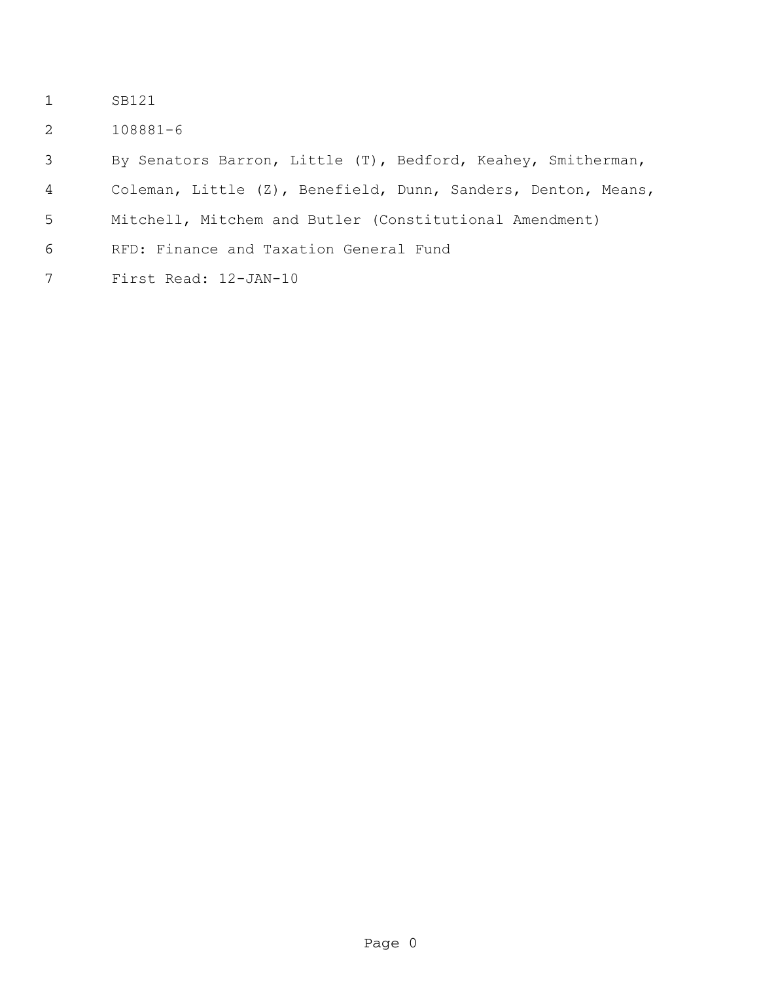- SB121
- 108881-6

By Senators Barron, Little (T), Bedford, Keahey, Smitherman,

- Coleman, Little (Z), Benefield, Dunn, Sanders, Denton, Means,
- Mitchell, Mitchem and Butler (Constitutional Amendment)
- RFD: Finance and Taxation General Fund
- First Read: 12-JAN-10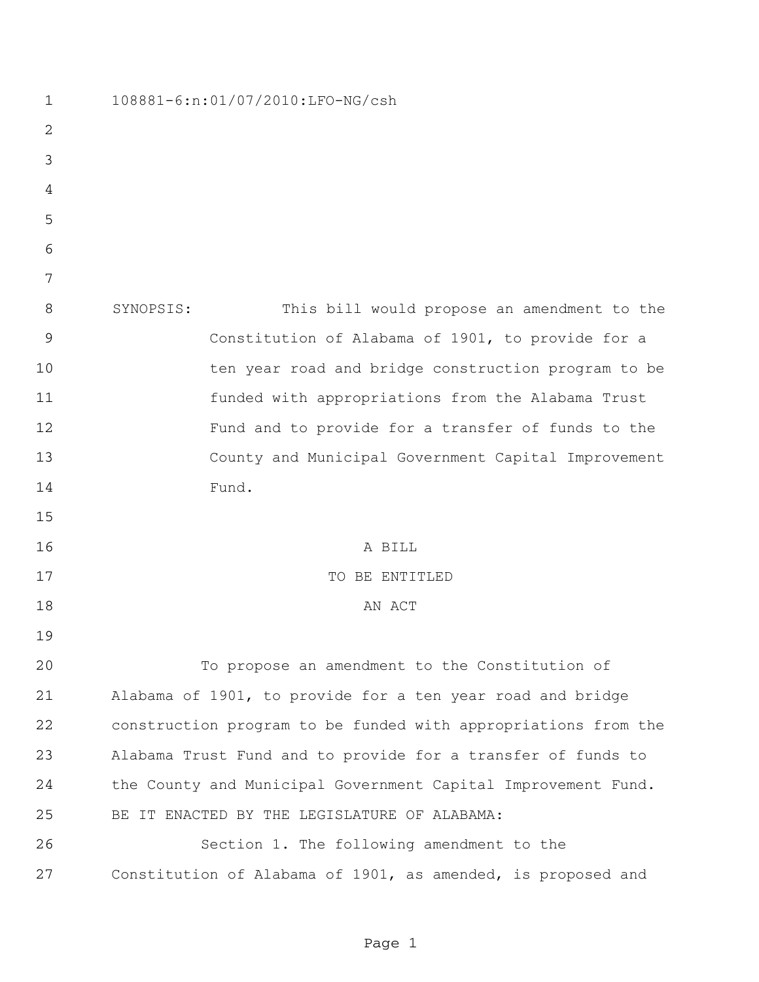| $\mathbf 1$    | 108881-6:n:01/07/2010:LFO-NG/csh                               |  |  |  |  |  |
|----------------|----------------------------------------------------------------|--|--|--|--|--|
| $\overline{2}$ |                                                                |  |  |  |  |  |
| 3              |                                                                |  |  |  |  |  |
| 4              |                                                                |  |  |  |  |  |
| 5              |                                                                |  |  |  |  |  |
| 6              |                                                                |  |  |  |  |  |
| 7              |                                                                |  |  |  |  |  |
| 8              | This bill would propose an amendment to the<br>SYNOPSIS:       |  |  |  |  |  |
| 9              | Constitution of Alabama of 1901, to provide for a              |  |  |  |  |  |
| 10             | ten year road and bridge construction program to be            |  |  |  |  |  |
| 11             | funded with appropriations from the Alabama Trust              |  |  |  |  |  |
| 12             | Fund and to provide for a transfer of funds to the             |  |  |  |  |  |
| 13             | County and Municipal Government Capital Improvement            |  |  |  |  |  |
| 14             | Fund.                                                          |  |  |  |  |  |
| 15             |                                                                |  |  |  |  |  |
| 16             | A BILL                                                         |  |  |  |  |  |
| 17             | TO BE ENTITLED                                                 |  |  |  |  |  |
| 18             | AN ACT                                                         |  |  |  |  |  |
| 19             |                                                                |  |  |  |  |  |
| 20             | To propose an amendment to the Constitution of                 |  |  |  |  |  |
| 21             | Alabama of 1901, to provide for a ten year road and bridge     |  |  |  |  |  |
| 22             | construction program to be funded with appropriations from the |  |  |  |  |  |
| 23             | Alabama Trust Fund and to provide for a transfer of funds to   |  |  |  |  |  |
| 24             | the County and Municipal Government Capital Improvement Fund.  |  |  |  |  |  |
| 25             | BE IT ENACTED BY THE LEGISLATURE OF ALABAMA:                   |  |  |  |  |  |
| 26             | Section 1. The following amendment to the                      |  |  |  |  |  |
| 27             | Constitution of Alabama of 1901, as amended, is proposed and   |  |  |  |  |  |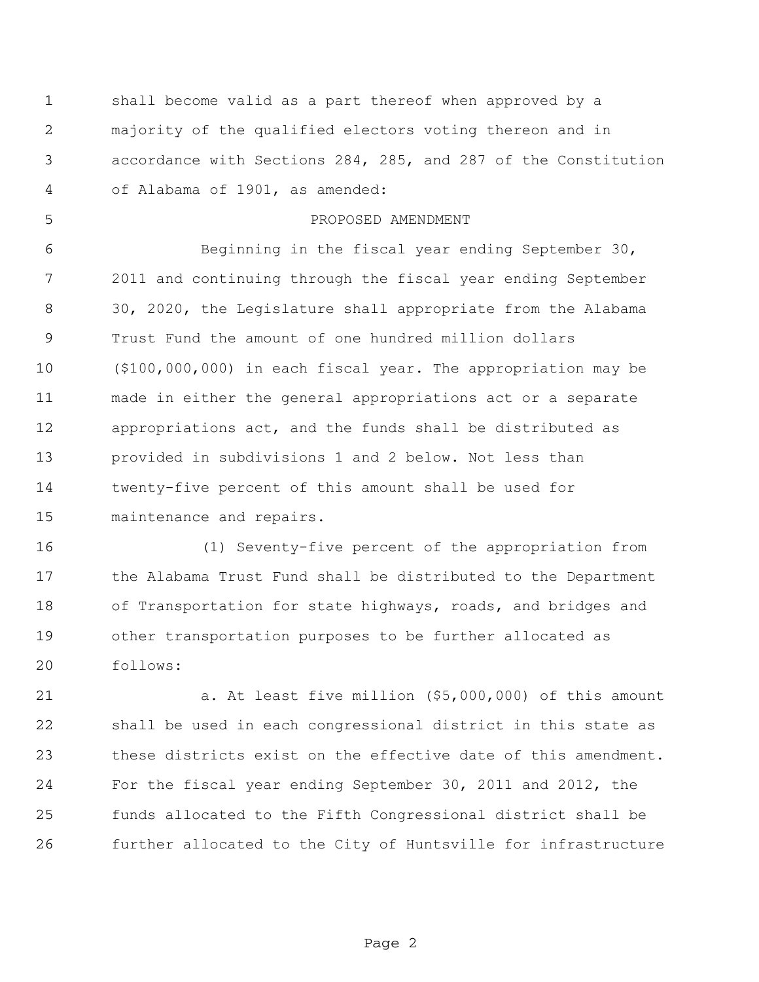shall become valid as a part thereof when approved by a majority of the qualified electors voting thereon and in accordance with Sections 284, 285, and 287 of the Constitution of Alabama of 1901, as amended:

## PROPOSED AMENDMENT

 Beginning in the fiscal year ending September 30, 2011 and continuing through the fiscal year ending September 30, 2020, the Legislature shall appropriate from the Alabama Trust Fund the amount of one hundred million dollars (\$100,000,000) in each fiscal year. The appropriation may be made in either the general appropriations act or a separate appropriations act, and the funds shall be distributed as provided in subdivisions 1 and 2 below. Not less than twenty-five percent of this amount shall be used for maintenance and repairs.

 (1) Seventy-five percent of the appropriation from the Alabama Trust Fund shall be distributed to the Department of Transportation for state highways, roads, and bridges and other transportation purposes to be further allocated as follows:

 a. At least five million (\$5,000,000) of this amount shall be used in each congressional district in this state as these districts exist on the effective date of this amendment. For the fiscal year ending September 30, 2011 and 2012, the funds allocated to the Fifth Congressional district shall be further allocated to the City of Huntsville for infrastructure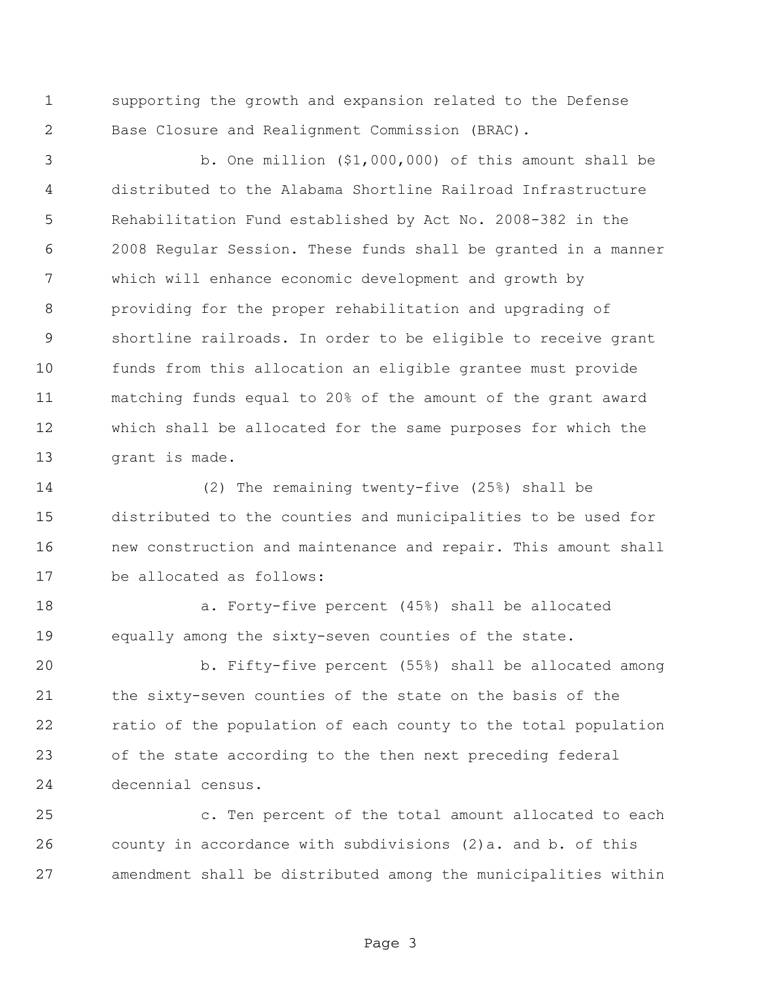supporting the growth and expansion related to the Defense Base Closure and Realignment Commission (BRAC).

 b. One million (\$1,000,000) of this amount shall be distributed to the Alabama Shortline Railroad Infrastructure Rehabilitation Fund established by Act No. 2008-382 in the 2008 Regular Session. These funds shall be granted in a manner which will enhance economic development and growth by providing for the proper rehabilitation and upgrading of shortline railroads. In order to be eligible to receive grant funds from this allocation an eligible grantee must provide matching funds equal to 20% of the amount of the grant award which shall be allocated for the same purposes for which the grant is made.

 (2) The remaining twenty-five (25%) shall be distributed to the counties and municipalities to be used for new construction and maintenance and repair. This amount shall be allocated as follows:

 a. Forty-five percent (45%) shall be allocated equally among the sixty-seven counties of the state.

 b. Fifty-five percent (55%) shall be allocated among the sixty-seven counties of the state on the basis of the ratio of the population of each county to the total population of the state according to the then next preceding federal decennial census.

 c. Ten percent of the total amount allocated to each county in accordance with subdivisions (2)a. and b. of this amendment shall be distributed among the municipalities within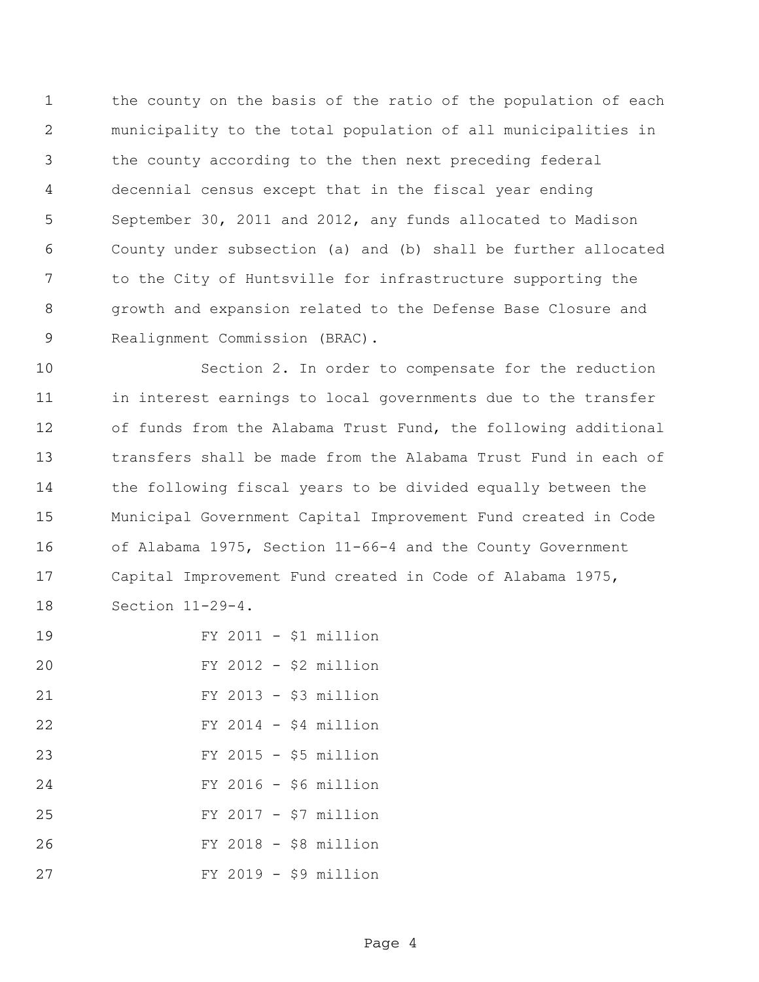the county on the basis of the ratio of the population of each municipality to the total population of all municipalities in the county according to the then next preceding federal decennial census except that in the fiscal year ending September 30, 2011 and 2012, any funds allocated to Madison County under subsection (a) and (b) shall be further allocated to the City of Huntsville for infrastructure supporting the growth and expansion related to the Defense Base Closure and Realignment Commission (BRAC).

 Section 2. In order to compensate for the reduction in interest earnings to local governments due to the transfer of funds from the Alabama Trust Fund, the following additional transfers shall be made from the Alabama Trust Fund in each of the following fiscal years to be divided equally between the Municipal Government Capital Improvement Fund created in Code of Alabama 1975, Section 11-66-4 and the County Government Capital Improvement Fund created in Code of Alabama 1975, Section 11-29-4.

| 19 |  |  | $FY$ 2011 - \$1 million |
|----|--|--|-------------------------|
| 20 |  |  | $FY$ 2012 - \$2 million |
| 21 |  |  | $FY$ 2013 - \$3 million |
| 22 |  |  | $FY$ 2014 - \$4 million |
| 23 |  |  | $FY$ 2015 - \$5 million |
| 24 |  |  | $FY$ 2016 - \$6 million |
| 25 |  |  | $FY$ 2017 - \$7 million |
| 26 |  |  | $FY$ 2018 - \$8 million |
| 27 |  |  | $FY$ 2019 - \$9 million |